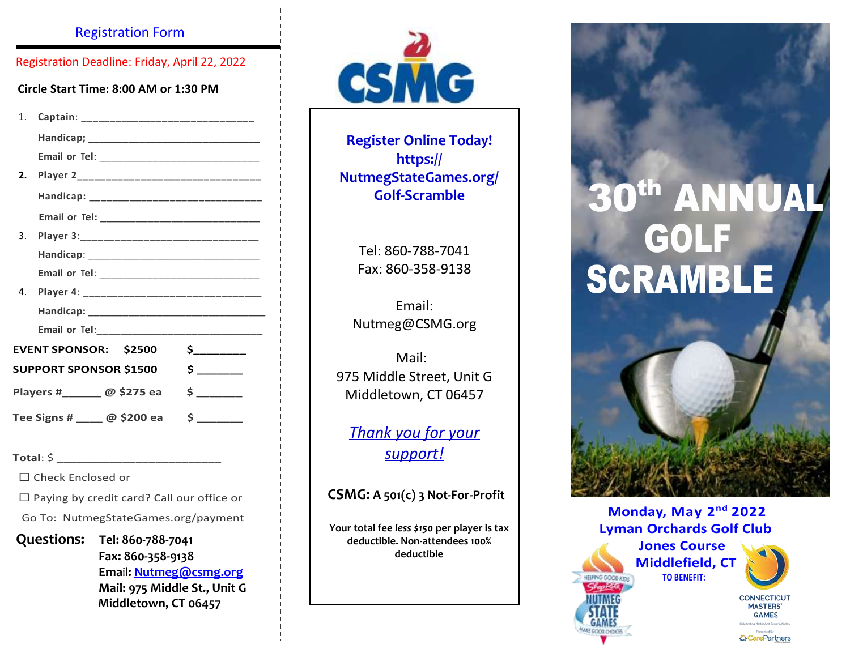#### Registration Form

Registration Deadline: Friday, April 22, 2022

**Circle Start Time: 8:00 AM or 1:30 PM**

| 1.                            |                                               |  |
|-------------------------------|-----------------------------------------------|--|
|                               |                                               |  |
|                               |                                               |  |
| 2.                            |                                               |  |
|                               | Handicap: ___________________________________ |  |
|                               |                                               |  |
| 3.                            |                                               |  |
|                               |                                               |  |
|                               |                                               |  |
| 4.                            |                                               |  |
|                               |                                               |  |
|                               |                                               |  |
| <b>EVENT SPONSOR: \$2500</b>  |                                               |  |
| <b>SUPPORT SPONSOR \$1500</b> |                                               |  |
| Players #________ @ \$275 ea  |                                               |  |
| Tee Signs # _____ @ \$200 ea  |                                               |  |

**Total**: \$ \_\_\_\_\_\_\_\_\_\_\_\_\_\_\_\_\_\_\_\_\_\_\_\_\_

□ Check Enclosed or

□ Paying by credit card? Call our office or

Go To: NutmegStateGames.org/payment

**Questions: Tel: 860-788-7041 Fax: 860-358-9138 Ema**il**: [Nutmeg@csmg.org](mailto:Nutmeg@csmg.org) Mail: 975 Middle St., Unit G Middletown, CT 06457**



**Register Online Today! https:// NutmegStateGames.org/ Golf-Scramble**

Tel: 860-788-7041 Fax: 860-358-9138

Email: [Nutmeg@CSMG.org](mailto:Nutmeg@CSMG.org)

 Mail: 975 Middle Street, Unit G Middletown, CT 06457

*Thank you for your support!*

**CSMG: A 501(c) 3 Not-For-Profit**

**Your total fee** *less \$150* **per player is tax deductible. Non-attendees 100% deductible**

# **0<sup>th</sup> ANNUAL**  GOLF SCRAMBLE

 **Monday, May 2nd 2022 Lyman Orchards Golf Club**

 **Jones Course Middlefield, CT TO BENEFIT:** 



**CONNECTICUT MASTERS' GAMES & CarePartners**